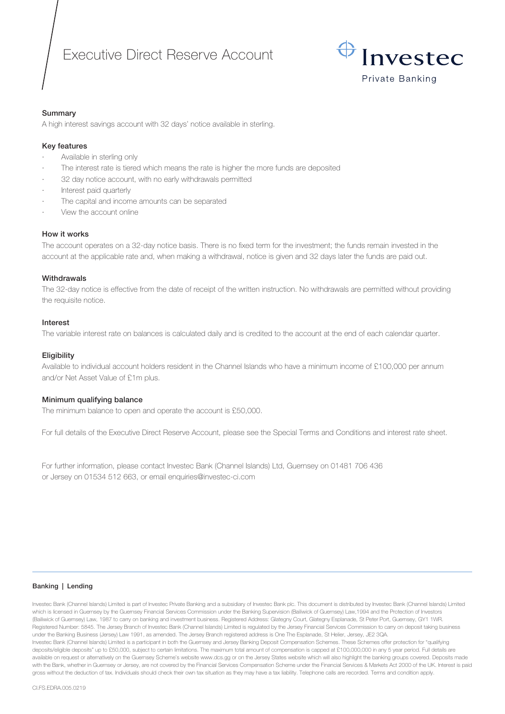# Executive Direct Reserve Account



## Summary

A high interest savings account with 32 days' notice available in sterling.

## Key features

- Available in sterling only
- The interest rate is tiered which means the rate is higher the more funds are deposited
- 32 day notice account, with no early withdrawals permitted
- Interest paid quarterly
- The capital and income amounts can be separated
- View the account online

## How it works

The account operates on a 32-day notice basis. There is no fixed term for the investment; the funds remain invested in the account at the applicable rate and, when making a withdrawal, notice is given and 32 days later the funds are paid out.

## **Withdrawals**

The 32-day notice is effective from the date of receipt of the written instruction. No withdrawals are permitted without providing the requisite notice.

## Interest

The variable interest rate on balances is calculated daily and is credited to the account at the end of each calendar quarter.

## **Eligibility**

Available to individual account holders resident in the Channel Islands who have a minimum income of £100,000 per annum and/or Net Asset Value of £1m plus.

## Minimum qualifying balance

The minimum balance to open and operate the account is £50,000.

For full details of the Executive Direct Reserve Account, please see the Special Terms and Conditions and interest rate sheet.

For further information, please contact Investec Bank (Channel Islands) Ltd, Guernsey on 01481 706 436 or Jersey on 01534 512 663, or email enquiries@investec-ci.com

#### Banking | Lending

Investec Bank (Channel Islands) Limited is part of Investec Private Banking and a subsidiary of Investec Bank plc. This document is distributed by Investec Bank (Channel Islands) Limited which is licensed in Guernsey by the Guernsey Financial Services Commission under the Banking Supervision (Bailiwick of Guernsey) Law,1994 and the Protection of Investors (Bailiwick of Guernsey) Law, 1987 to carry on banking and investment business. Registered Address: Glategny Court, Glategny Esplanade, St Peter Port, Guernsey, GY1 1WR. Registered Number: 5845. The Jersey Branch of Investec Bank (Channel Islands) Limited is regulated by the Jersey Financial Services Commission to carry on deposit taking business under the Banking Business (Jersey) Law 1991, as amended. The Jersey Branch registered address is One The Esplanade, St Helier, Jersey, JE2 3QA. Investec Bank (Channel Islands) Limited is a participant in both the Guernsey and Jersey Banking Deposit Compensation Schemes. These Schemes offer protection for "qualifying deposits/eligible deposits" up to £50,000, subject to certain limitations. The maximum total amount of compensation is capped at £100,000,000 in any 5 year period. Full details are available on request or alternatively on the Guernsey Scheme's website www.dcs.gg or on the Jersey States website which will also highlight the banking groups covered. Deposits made with the Bank, whether in Guernsey or Jersey, are not covered by the Financial Services Compensation Scheme under the Financial Services & Markets Act 2000 of the UK. Interest is paid gross without the deduction of tax. Individuals should check their own tax situation as they may have a tax liability. Telephone calls are recorded. Terms and condition apply.